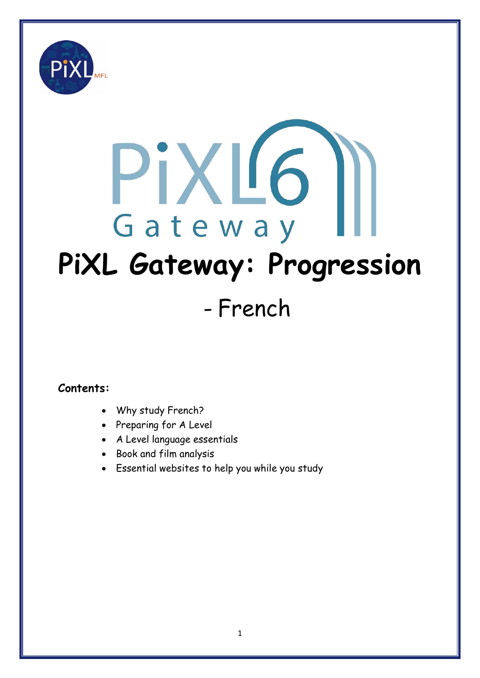

# PiXL6 Gateway **PiXL Gateway: Progression**

# - French

### **Contents:**

- Why study French?
- Preparing for A Level
- A Level language essentials
- Book and film analysis
- Essential websites to help you while you study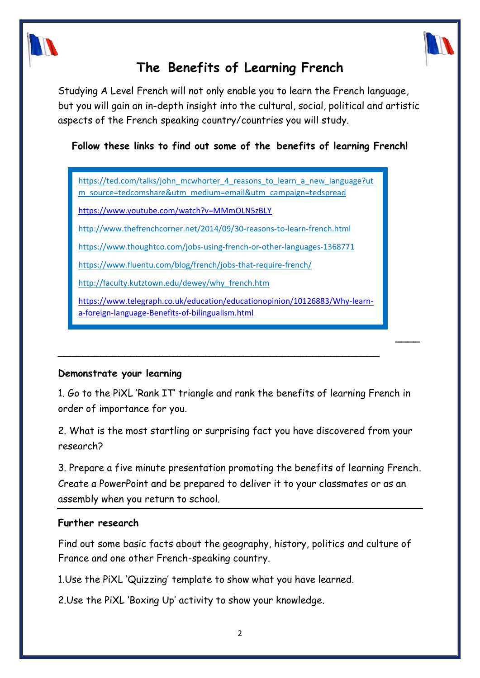

# **The Benefits of Learning French**

Studying A Level French will not only enable you to learn the French language, but you will gain an in-depth insight into the cultural, social, political and artistic aspects of the French speaking country/countries you will study.

**Follow these links to find out some of the benefits of learning French!**

[https://ted.com/talks/john\\_mcwhorter\\_4\\_reasons\\_to\\_learn\\_a\\_new\\_language?ut](https://ted.com/talks/john_mcwhorter_4_reasons_to_learn_a_new_language?utm_source=tedcomshare&utm_medium=email&utm_campaign=tedspread) [m\\_source=tedcomshare&utm\\_medium=email&utm\\_campaign=tedspread](https://ted.com/talks/john_mcwhorter_4_reasons_to_learn_a_new_language?utm_source=tedcomshare&utm_medium=email&utm_campaign=tedspread)

<https://www.youtube.com/watch?v=MMmOLN5zBLY>

<http://www.thefrenchcorner.net/2014/09/30-reasons-to-learn-french.html>

<https://www.thoughtco.com/jobs-using-french-or-other-languages-1368771>

<https://www.fluentu.com/blog/french/jobs-that-require-french/>

[http://faculty.kutztown.edu/dewey/why\\_french.htm](http://faculty.kutztown.edu/dewey/why_french.htm)

[https://www.telegraph.co.uk/education/educationopinion/10126883/Why-learn](https://www.telegraph.co.uk/education/educationopinion/10126883/Why-learn-a-foreign-language-Benefits-of-bilingualism.html)[a-foreign-language-Benefits-of-bilingualism.html](https://www.telegraph.co.uk/education/educationopinion/10126883/Why-learn-a-foreign-language-Benefits-of-bilingualism.html)

**\_\_\_\_\_\_\_\_\_\_\_\_\_\_\_\_\_\_\_\_\_\_\_\_\_\_\_\_\_\_\_\_\_\_\_\_\_\_\_\_\_\_\_\_\_\_\_\_\_\_\_\_\_**

#### **Demonstrate your learning**

1. Go to the PiXL 'Rank IT' triangle and rank the benefits of learning French in order of importance for you.

**\_\_\_\_**

2. What is the most startling or surprising fact you have discovered from your research?

3. Prepare a five minute presentation promoting the benefits of learning French. Create a PowerPoint and be prepared to deliver it to your classmates or as an assembly when you return to school.

#### **Further research**

Find out some basic facts about the geography, history, politics and culture of France and one other French-speaking country.

1.Use the PiXL 'Quizzing' template to show what you have learned.

2.Use the PiXL 'Boxing Up' activity to show your knowledge.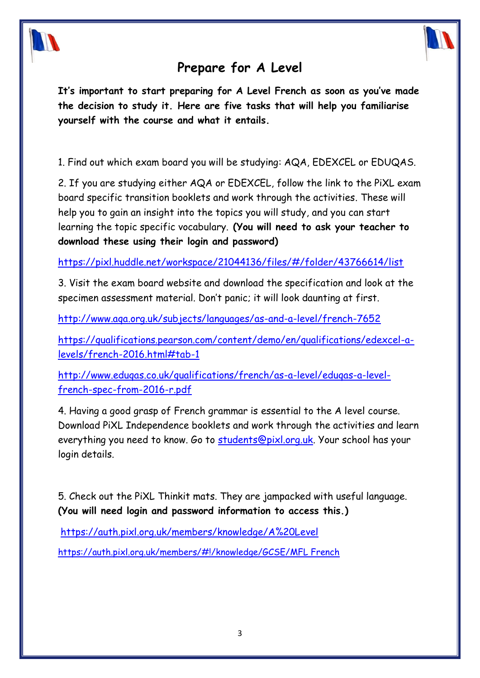

## **Prepare for A Level**

**It's important to start preparing for A Level French as soon as you've made the decision to study it. Here are five tasks that will help you familiarise yourself with the course and what it entails.**

1. Find out which exam board you will be studying: AQA, EDEXCEL or EDUQAS.

2. If you are studying either AQA or EDEXCEL, follow the link to the PiXL exam board specific transition booklets and work through the activities. These will help you to gain an insight into the topics you will study, and you can start learning the topic specific vocabulary. **(You will need to ask your teacher to download these using their login and password)**

[https://pixl.huddle.net/workspace/21044136/files/#/folder/43766614/list](https://pixl.huddle.net/workspace/21044136/files/%23/folder/43766614/list)

3. Visit the exam board website and download the specification and look at the specimen assessment material. Don't panic; it will look daunting at first.

<http://www.aqa.org.uk/subjects/languages/as-and-a-level/french-7652>

[https://qualifications.pearson.com/content/demo/en/qualifications/edexcel-a](https://qualifications.pearson.com/content/demo/en/qualifications/edexcel-a-levels/french-2016.html%23tab-1)[levels/french-2016.html#tab-1](https://qualifications.pearson.com/content/demo/en/qualifications/edexcel-a-levels/french-2016.html%23tab-1)

[http://www.eduqas.co.uk/qualifications/french/as-a-level/eduqas-a-level](http://www.eduqas.co.uk/qualifications/french/as-a-level/eduqas-a-level-french-spec-from-2016-r.pdf)[french-spec-from-2016-r.pdf](http://www.eduqas.co.uk/qualifications/french/as-a-level/eduqas-a-level-french-spec-from-2016-r.pdf)

4. Having a good grasp of French grammar is essential to the A level course. Download PiXL Independence booklets and work through the activities and learn everything you need to know. Go to [students@pixl.org.uk.](mailto:students@pixl.org.uk) Your school has your login details.

5. Check out the PiXL Thinkit mats. They are jampacked with useful language. **(You will need login and password information to access this.)**

<https://auth.pixl.org.uk/members/knowledge/A%20Level>

[https://auth.pixl.org.uk/members/#!/knowledge/GCSE/MFL French](https://auth.pixl.org.uk/members/%23!/knowledge/GCSE/MFL%20French)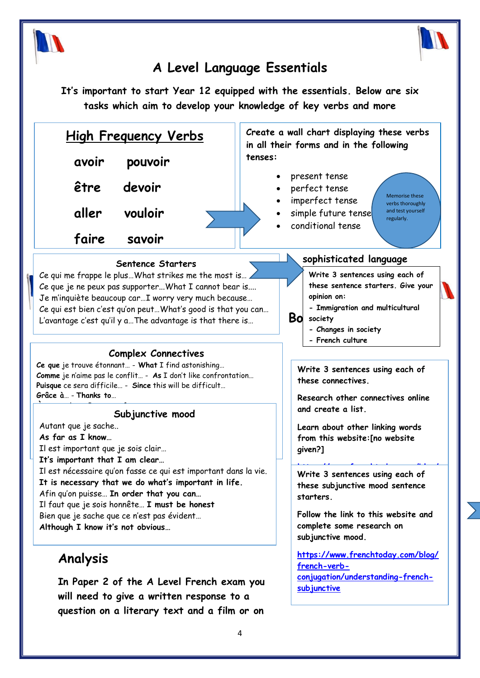



# **A Level Language Essentials**

**It's important to start Year 12 equipped with the essentials. Below are six tasks which aim to develop your knowledge of key verbs and more** 

| <u>High Frequency Verbs</u>                                                                                                                                                                                                                                                                                                                                                                                                                                                                                                                                                                                                                                                                                   |                                                                                        | Create a wall chart displaying these verbs<br>in all their forms and in the following                                                                                                                                                                                                                                                                                                                                     |  |
|---------------------------------------------------------------------------------------------------------------------------------------------------------------------------------------------------------------------------------------------------------------------------------------------------------------------------------------------------------------------------------------------------------------------------------------------------------------------------------------------------------------------------------------------------------------------------------------------------------------------------------------------------------------------------------------------------------------|----------------------------------------------------------------------------------------|---------------------------------------------------------------------------------------------------------------------------------------------------------------------------------------------------------------------------------------------------------------------------------------------------------------------------------------------------------------------------------------------------------------------------|--|
| avoir                                                                                                                                                                                                                                                                                                                                                                                                                                                                                                                                                                                                                                                                                                         | pouvoir                                                                                | tenses:                                                                                                                                                                                                                                                                                                                                                                                                                   |  |
| être                                                                                                                                                                                                                                                                                                                                                                                                                                                                                                                                                                                                                                                                                                          | devoir                                                                                 | present tense<br>perfect tense<br><b>Memorise these</b>                                                                                                                                                                                                                                                                                                                                                                   |  |
| aller                                                                                                                                                                                                                                                                                                                                                                                                                                                                                                                                                                                                                                                                                                         | vouloir                                                                                | imperfect tense<br>verbs thoroughly<br>and test yourself<br>simple future tense<br>regularly.<br>conditional tense                                                                                                                                                                                                                                                                                                        |  |
| faire                                                                                                                                                                                                                                                                                                                                                                                                                                                                                                                                                                                                                                                                                                         | savoir                                                                                 |                                                                                                                                                                                                                                                                                                                                                                                                                           |  |
| <b>Sentence Starters</b><br>Ce qui me frappe le plus What strikes me the most is<br>Ce que je ne peux pas supporterWhat I cannot bear is<br>Je m'inquiète beaucoup carI worry very much because<br>Ce qui est bien c'est qu'on peut What's good is that you can<br>L'avantage c'est qu'il y a The advantage is that there is<br><b>Complex Connectives</b><br>Ce que je trouve étonnant - What I find astonishing<br>Comme je n'aime pas le conflit - As I don't like confrontation<br>Puisque ce sera difficile - Since this will be difficult<br>Grâce à - Thanks to<br>Subjunctive mood<br>Autant que je sache<br>As far as I know<br>Il est important que je sois clair<br>It's important that I am clear |                                                                                        | sophisticated language<br>Write 3 sentences using each of<br>these sentence starters. Give your<br>opinion on:<br>- Immigration and multicultural<br><b>Bo</b><br>society<br>- Changes in society<br>- French culture<br>Write 3 sentences using each of<br>these connectives.<br>Research other connectives online<br>and create a list.<br>Learn about other linking words<br>from this website: [no website<br>given?] |  |
| Il est nécessaire qu'on fasse ce qui est important dans la vie.<br>It is necessary that we do what's important in life.<br>Afin qu'on puisse In order that you can<br>Il faut que je sois honnête I must be honest<br>Bien que je sache que ce n'est pas évident<br>Although I know it's not obvious                                                                                                                                                                                                                                                                                                                                                                                                          |                                                                                        | Write 3 sentences using each of<br>these subjunctive mood sentence<br>starters.<br>Follow the link to this website and<br>complete some research on<br>subjunctive mood.                                                                                                                                                                                                                                                  |  |
| Analysis                                                                                                                                                                                                                                                                                                                                                                                                                                                                                                                                                                                                                                                                                                      | In Paper 2 of the A Level French exam you<br>will need to give a written response to a | https://www.frenchtoday.com/blog/<br>french-verb-<br>conjugation/understanding-french-<br>subjunctive                                                                                                                                                                                                                                                                                                                     |  |

**question on a literary text and a film or on**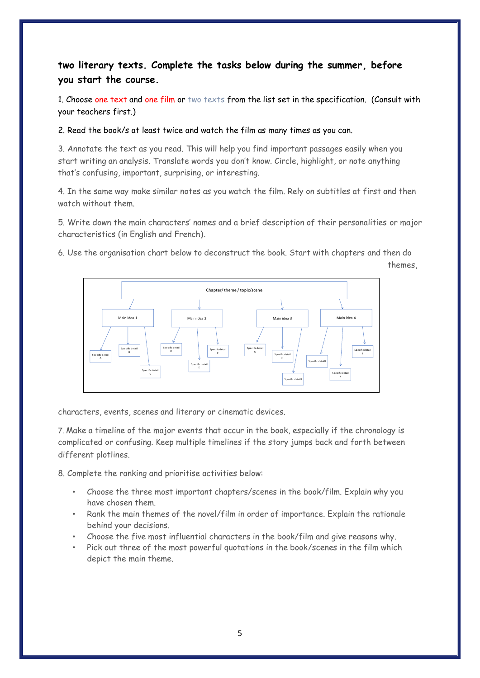#### **two literary texts. Complete the tasks below during the summer, before you start the course.**

1. Choose one text and one film or two texts from the list set in the specification. (Consult with your teachers first.)

2. Read the book/s at least twice and watch the film as many times as you can.

3. Annotate the text as you read. This will help you find important passages easily when you start writing an analysis. Translate words you don't know. Circle, highlight, or note anything that's confusing, important, surprising, or interesting.

4. In the same way make similar notes as you watch the film. Rely on subtitles at first and then watch without them.

5. Write down the main characters' names and a brief description of their personalities or major characteristics (in English and French).

6. Use the organisation chart below to deconstruct the book. Start with chapters and then do

themes,

characters, events, scenes and literary or cinematic devices.

7. Make a timeline of the major events that occur in the book, especially if the chronology is complicated or confusing. Keep multiple timelines if the story jumps back and forth between different plotlines.

8. Complete the ranking and prioritise activities below:

- Choose the three most important chapters/scenes in the book/film. Explain why you have chosen them.
- Rank the main themes of the novel/film in order of importance. Explain the rationale behind your decisions.
- Choose the five most influential characters in the book/film and give reasons why.
- Pick out three of the most powerful quotations in the book/scenes in the film which depict the main theme.

Main idea 1 Main idea 2 Main idea 3 Main idea 4 Chapter/ theme / topic/scene Specific detail A Specific detail B Specific detail C Specific detail D Specific detail E Specific detail F Specific detail G Specific detail H Specific detail I **Specific detail J** Specific detail K Specific detail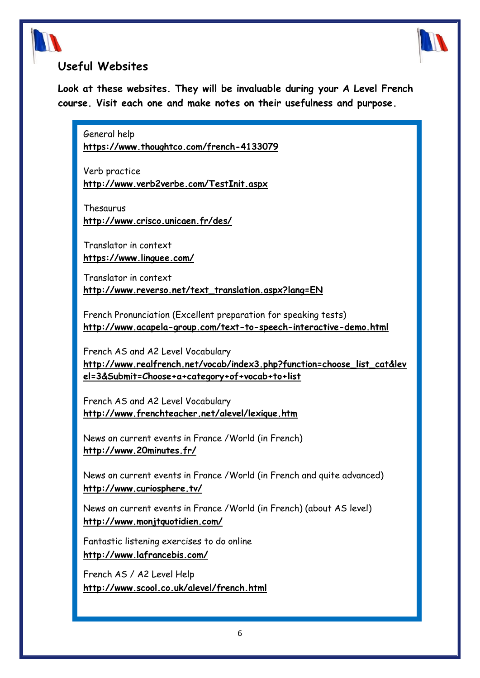



#### **Useful Websites**

**Look at these websites. They will be invaluable during your A Level French course. Visit each one and make notes on their usefulness and purpose.**

General help **<https://www.thoughtco.com/french-4133079>**

Verb practice **<http://www.verb2verbe.com/TestInit.aspx>**

Thesaurus

**<http://www.crisco.unicaen.fr/des/>**

Translator in context **<https://www.linguee.com/>**

Translator in context **[http://www.reverso.net/text\\_translation.aspx?lang=EN](http://www.reverso.net/text_translation.aspx?lang=EN)**

French Pronunciation (Excellent preparation for speaking tests) **<http://www.acapela-group.com/text-to-speech-interactive-demo.html>**

French AS and A2 Level Vocabulary **[http://www.realfrench.net/vocab/index3.php?function=choose\\_list\\_cat&lev](http://www.realfrench.net/vocab/index3.php?function=choose_list_cat&level=3&Submit=Choose+a+category+of+vocab+to+list) [el=3&Submit=Choose+a+category+of+vocab+to+list](http://www.realfrench.net/vocab/index3.php?function=choose_list_cat&level=3&Submit=Choose+a+category+of+vocab+to+list)**

French AS and A2 Level Vocabulary **<http://www.frenchteacher.net/alevel/lexique.htm>**

News on current events in France /World (in French) **<http://www.20minutes.fr/>**

News on current events in France /World (in French and quite advanced) **<http://www.curiosphere.tv/>**

News on current events in France /World (in French) (about AS level) **<http://www.monjtquotidien.com/>**

Fantastic listening exercises to do online **<http://www.lafrancebis.com/>**

French AS / A2 Level Help **[http://www.scool.co.uk/alevel/french.html](http://www.s-cool.co.uk/alevel/french.html)**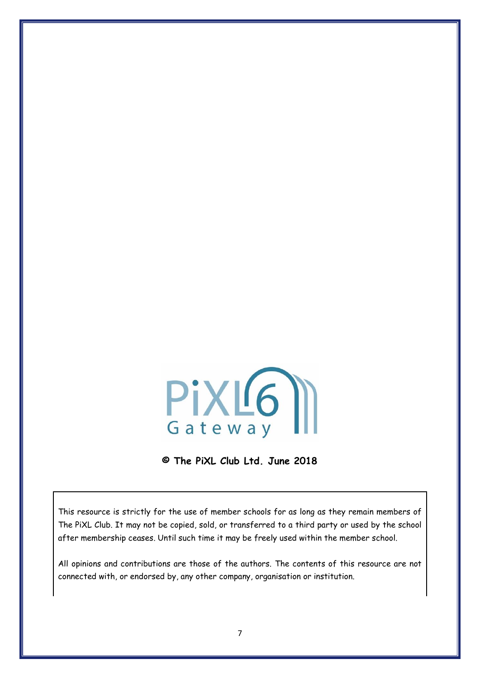

**© The PiXL Club Ltd. June 2018**

This resource is strictly for the use of member schools for as long as they remain members of The PiXL Club. It may not be copied, sold, or transferred to a third party or used by the school after membership ceases. Until such time it may be freely used within the member school.

All opinions and contributions are those of the authors. The contents of this resource are not connected with, or endorsed by, any other company, organisation or institution.